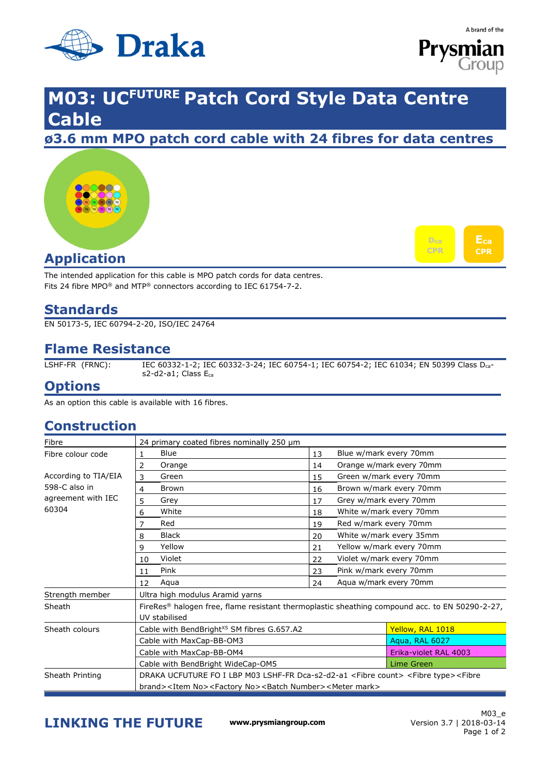



## **M03: UCFUTURE Patch Cord Style Data Centre Cable**

**ø3.6 mm MPO patch cord cable with 24 fibres for data centres** 





## **Application**

The intended application for this cable is MPO patch cords for data centres. Fits 24 fibre MPO® and MTP® connectors according to IEC 61754-7-2.

### **Standards**

EN 50173-5, IEC 60794-2-20, ISO/IEC 24764

## **Flame Resistance**

LSHF-FR (FRNC): IEC 60332-1-2; IEC 60332-3-24; IEC 60754-1; IEC 60754-2; IEC 61034; EN 50399 Class Dcas2-d2-a1; Class Eca

#### **Options**

As an option this cable is available with 16 fibres.

### **Construction**

| Fibre                                                                | 24 primary coated fibres nominally 250 µm                                                                                |                       |                          |  |  |  |
|----------------------------------------------------------------------|--------------------------------------------------------------------------------------------------------------------------|-----------------------|--------------------------|--|--|--|
| Fibre colour code                                                    | Blue<br>1.                                                                                                               | 13                    | Blue w/mark every 70mm   |  |  |  |
|                                                                      | Orange<br>2                                                                                                              | 14                    | Orange w/mark every 70mm |  |  |  |
| According to TIA/EIA<br>598-C also in<br>agreement with IEC<br>60304 | 3<br>Green                                                                                                               | 15                    | Green w/mark every 70mm  |  |  |  |
|                                                                      | <b>Brown</b><br>4                                                                                                        | 16                    | Brown w/mark every 70mm  |  |  |  |
|                                                                      | Grey<br>5                                                                                                                | 17                    | Grey w/mark every 70mm   |  |  |  |
|                                                                      | White<br>6                                                                                                               | 18                    | White w/mark every 70mm  |  |  |  |
|                                                                      | Red                                                                                                                      | 19                    | Red w/mark every 70mm    |  |  |  |
|                                                                      | Black<br>8                                                                                                               | 20                    | White w/mark every 35mm  |  |  |  |
|                                                                      | Yellow<br>9                                                                                                              | 21                    | Yellow w/mark every 70mm |  |  |  |
|                                                                      | Violet<br>10                                                                                                             | 22                    | Violet w/mark every 70mm |  |  |  |
|                                                                      | Pink<br>11                                                                                                               | 23                    | Pink w/mark every 70mm   |  |  |  |
|                                                                      | Aqua<br>12                                                                                                               | 24                    | Agua w/mark every 70mm   |  |  |  |
| Strength member                                                      | Ultra high modulus Aramid yarns                                                                                          |                       |                          |  |  |  |
| Sheath                                                               | FireRes <sup>®</sup> halogen free, flame resistant thermoplastic sheathing compound acc. to EN 50290-2-27,               |                       |                          |  |  |  |
|                                                                      | UV stabilised                                                                                                            |                       |                          |  |  |  |
| Sheath colours                                                       | Cable with BendBright <sup>xs</sup> SM fibres G.657.A2                                                                   |                       | Yellow, RAL 1018         |  |  |  |
|                                                                      | Cable with MaxCap-BB-OM3                                                                                                 | Aqua, RAL 6027        |                          |  |  |  |
|                                                                      | Cable with MaxCap-BB-OM4                                                                                                 | Erika-violet RAL 4003 |                          |  |  |  |
|                                                                      | Cable with BendBright WideCap-OM5                                                                                        | <b>Lime Green</b>     |                          |  |  |  |
| Sheath Printing                                                      | DRAKA UCFUTURE FO I LBP M03 LSHF-FR Dca-s2-d2-a1 <fibre count=""> <fibre type=""><fibre< td=""></fibre<></fibre></fibre> |                       |                          |  |  |  |
|                                                                      | brand> <item no=""><factory no=""><batch number=""><meter mark=""></meter></batch></factory></item>                      |                       |                          |  |  |  |

**LINKING THE FUTURE www.prysmiangroup.com**